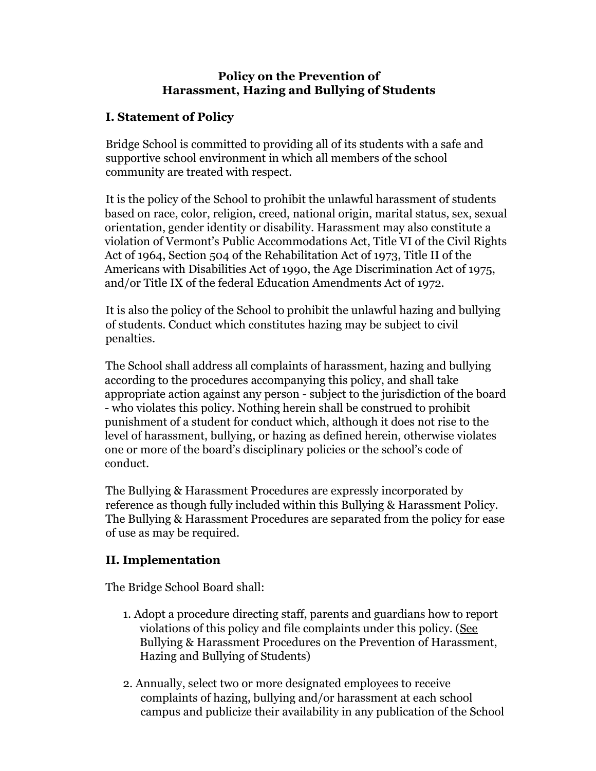### **Policy on the Prevention of Harassment, Hazing and Bullying of Students**

# **I. Statement of Policy**

Bridge School is committed to providing all of its students with a safe and supportive school environment in which all members of the school community are treated with respect.

It is the policy of the School to prohibit the unlawful harassment of students based on race, color, religion, creed, national origin, marital status, sex, sexual orientation, gender identity or disability. Harassment may also constitute a violation of Vermont's Public Accommodations Act, Title VI of the Civil Rights Act of 1964, Section 504 of the Rehabilitation Act of 1973, Title II of the Americans with Disabilities Act of 1990, the Age Discrimination Act of 1975, and/or Title IX of the federal Education Amendments Act of 1972*.*

It is also the policy of the School to prohibit the unlawful hazing and bullying of students. Conduct which constitutes hazing may be subject to civil penalties.

The School shall address all complaints of harassment, hazing and bullying according to the procedures accompanying this policy, and shall take appropriate action against any person - subject to the jurisdiction of the board - who violates this policy. Nothing herein shall be construed to prohibit punishment of a student for conduct which, although it does not rise to the level of harassment, bullying, or hazing as defined herein, otherwise violates one or more of the board's disciplinary policies or the school's code of conduct.

The Bullying & Harassment Procedures are expressly incorporated by reference as though fully included within this Bullying & Harassment Policy. The Bullying & Harassment Procedures are separated from the policy for ease of use as may be required.

## **II. Implementation**

The Bridge School Board shall:

- 1. Adopt a procedure directing staff, parents and guardians how to report violations of this policy and file complaints under this policy. (See Bullying & Harassment Procedures on the Prevention of Harassment, Hazing and Bullying of Students)
- 2. Annually, select two or more designated employees to receive complaints of hazing, bullying and/or harassment at each school campus and publicize their availability in any publication of the School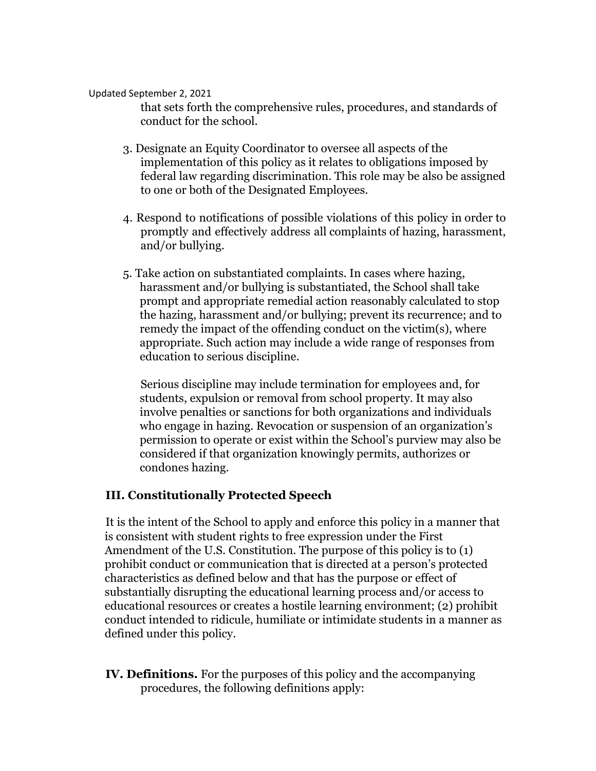#### Updated September 2, 2021

that sets forth the comprehensive rules, procedures, and standards of conduct for the school.

- 3. Designate an Equity Coordinator to oversee all aspects of the implementation of this policy as it relates to obligations imposed by federal law regarding discrimination. This role may be also be assigned to one or both of the Designated Employees.
- 4. Respond to notifications of possible violations of this policy in order to promptly and effectively address all complaints of hazing, harassment, and/or bullying.
- 5. Take action on substantiated complaints. In cases where hazing, harassment and/or bullying is substantiated, the School shall take prompt and appropriate remedial action reasonably calculated to stop the hazing, harassment and/or bullying; prevent its recurrence; and to remedy the impact of the offending conduct on the victim(s), where appropriate. Such action may include a wide range of responses from education to serious discipline.

Serious discipline may include termination for employees and, for students, expulsion or removal from school property. It may also involve penalties or sanctions for both organizations and individuals who engage in hazing. Revocation or suspension of an organization's permission to operate or exist within the School's purview may also be considered if that organization knowingly permits, authorizes or condones hazing.

### **III. Constitutionally Protected Speech**

It is the intent of the School to apply and enforce this policy in a manner that is consistent with student rights to free expression under the First Amendment of the U.S. Constitution. The purpose of this policy is to (1) prohibit conduct or communication that is directed at a person's protected characteristics as defined below and that has the purpose or effect of substantially disrupting the educational learning process and/or access to educational resources or creates a hostile learning environment; (2) prohibit conduct intended to ridicule, humiliate or intimidate students in a manner as defined under this policy.

**IV. Definitions.** For the purposes of this policy and the accompanying procedures, the following definitions apply: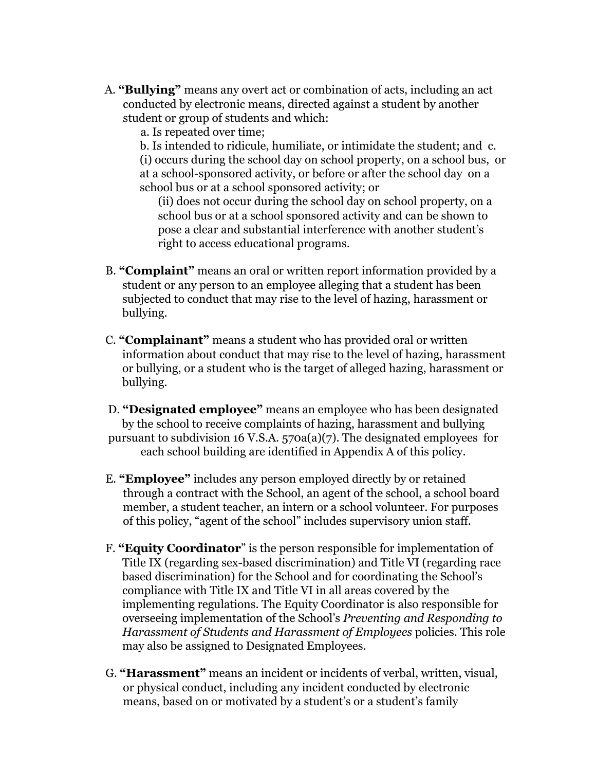A. **"Bullying"** means any overt act or combination of acts, including an act conducted by electronic means, directed against a student by another student or group of students and which:

a. Is repeated over time;

b. Is intended to ridicule, humiliate, or intimidate the student; and c. (i) occurs during the school day on school property, on a school bus, or at a school-sponsored activity, or before or after the school day on a school bus or at a school sponsored activity; or

(ii) does not occur during the school day on school property, on a school bus or at a school sponsored activity and can be shown to pose a clear and substantial interference with another student's right to access educational programs.

- B. **"Complaint"** means an oral or written report information provided by a student or any person to an employee alleging that a student has been subjected to conduct that may rise to the level of hazing, harassment or bullying.
- C. **"Complainant"** means a student who has provided oral or written information about conduct that may rise to the level of hazing, harassment or bullying, or a student who is the target of alleged hazing, harassment or bullying.
- D. **"Designated employee"** means an employee who has been designated by the school to receive complaints of hazing, harassment and bullying pursuant to subdivision 16 V.S.A. 570a(a)(7). The designated employees for each school building are identified in Appendix A of this policy.
- E. **"Employee"** includes any person employed directly by or retained through a contract with the School, an agent of the school, a school board member, a student teacher, an intern or a school volunteer. For purposes of this policy, "agent of the school" includes supervisory union staff.
- F. **"Equity Coordinator**" is the person responsible for implementation of Title IX (regarding sex-based discrimination) and Title VI (regarding race based discrimination) for the School and for coordinating the School's compliance with Title IX and Title VI in all areas covered by the implementing regulations. The Equity Coordinator is also responsible for overseeing implementation of the School's *Preventing and Responding to Harassment of Students and Harassment of Employees* policies. This role may also be assigned to Designated Employees.
- G. **"Harassment"** means an incident or incidents of verbal, written, visual, or physical conduct, including any incident conducted by electronic means, based on or motivated by a student's or a student's family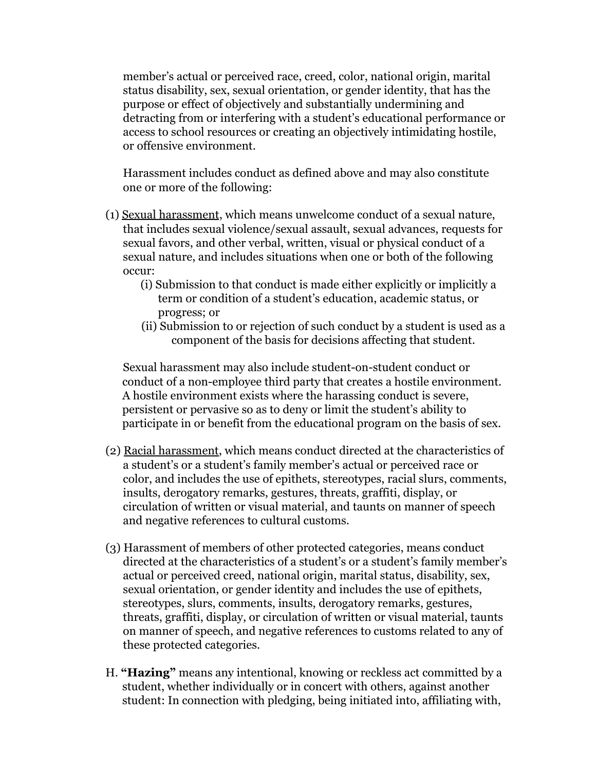member's actual or perceived race, creed, color, national origin, marital status disability, sex, sexual orientation, or gender identity, that has the purpose or effect of objectively and substantially undermining and detracting from or interfering with a student's educational performance or access to school resources or creating an objectively intimidating hostile, or offensive environment.

Harassment includes conduct as defined above and may also constitute one or more of the following:

- (1) Sexual harassment, which means unwelcome conduct of a sexual nature, that includes sexual violence/sexual assault, sexual advances, requests for sexual favors, and other verbal, written, visual or physical conduct of a sexual nature, and includes situations when one or both of the following occur:
	- (i) Submission to that conduct is made either explicitly or implicitly a term or condition of a student's education, academic status, or progress; or
	- (ii) Submission to or rejection of such conduct by a student is used as a component of the basis for decisions affecting that student.

Sexual harassment may also include student-on-student conduct or conduct of a non-employee third party that creates a hostile environment. A hostile environment exists where the harassing conduct is severe, persistent or pervasive so as to deny or limit the student's ability to participate in or benefit from the educational program on the basis of sex.

- (2) Racial harassment, which means conduct directed at the characteristics of a student's or a student's family member's actual or perceived race or color, and includes the use of epithets, stereotypes, racial slurs, comments, insults, derogatory remarks, gestures, threats, graffiti, display, or circulation of written or visual material, and taunts on manner of speech and negative references to cultural customs.
- (3) Harassment of members of other protected categories, means conduct directed at the characteristics of a student's or a student's family member's actual or perceived creed, national origin, marital status, disability, sex, sexual orientation, or gender identity and includes the use of epithets, stereotypes, slurs, comments, insults, derogatory remarks, gestures, threats, graffiti, display, or circulation of written or visual material, taunts on manner of speech, and negative references to customs related to any of these protected categories.
- H. **"Hazing"** means any intentional, knowing or reckless act committed by a student, whether individually or in concert with others, against another student: In connection with pledging, being initiated into, affiliating with,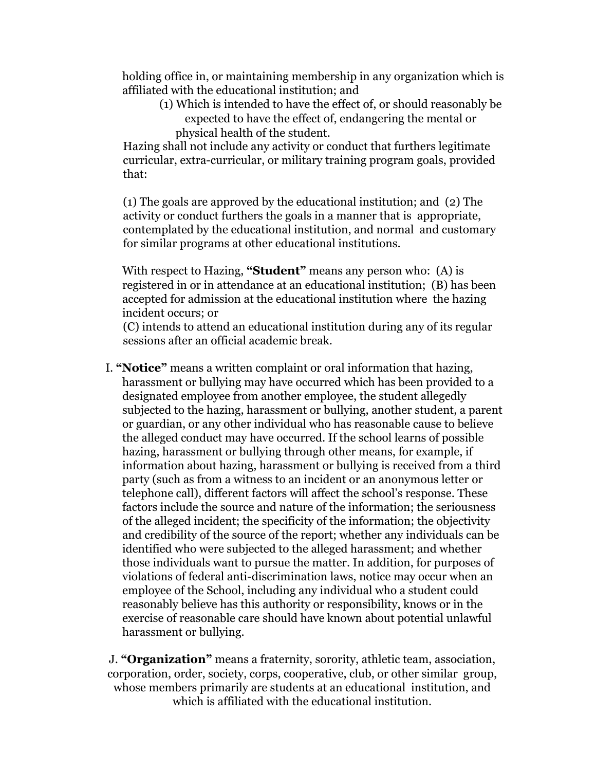holding office in, or maintaining membership in any organization which is affiliated with the educational institution; and

(1) Which is intended to have the effect of, or should reasonably be expected to have the effect of, endangering the mental or physical health of the student.

Hazing shall not include any activity or conduct that furthers legitimate curricular, extra-curricular, or military training program goals, provided that:

(1) The goals are approved by the educational institution; and (2) The activity or conduct furthers the goals in a manner that is appropriate, contemplated by the educational institution, and normal and customary for similar programs at other educational institutions.

With respect to Hazing, **"Student"** means any person who: (A) is registered in or in attendance at an educational institution; (B) has been accepted for admission at the educational institution where the hazing incident occurs; or

(C) intends to attend an educational institution during any of its regular sessions after an official academic break.

I. **"Notice"** means a written complaint or oral information that hazing, harassment or bullying may have occurred which has been provided to a designated employee from another employee, the student allegedly subjected to the hazing, harassment or bullying, another student, a parent or guardian, or any other individual who has reasonable cause to believe the alleged conduct may have occurred. If the school learns of possible hazing, harassment or bullying through other means, for example, if information about hazing, harassment or bullying is received from a third party (such as from a witness to an incident or an anonymous letter or telephone call), different factors will affect the school's response. These factors include the source and nature of the information; the seriousness of the alleged incident; the specificity of the information; the objectivity and credibility of the source of the report; whether any individuals can be identified who were subjected to the alleged harassment; and whether those individuals want to pursue the matter. In addition, for purposes of violations of federal anti-discrimination laws, notice may occur when an employee of the School, including any individual who a student could reasonably believe has this authority or responsibility, knows or in the exercise of reasonable care should have known about potential unlawful harassment or bullying.

J. **"Organization"** means a fraternity, sorority, athletic team, association, corporation, order, society, corps, cooperative, club, or other similar group, whose members primarily are students at an educational institution, and which is affiliated with the educational institution.